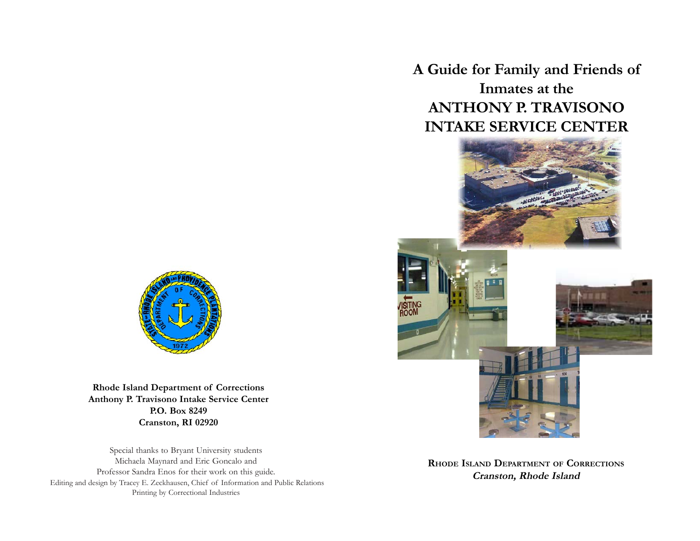**A Guide for Family and Friends of Inmates at the ANTHONY P. TRAVISONO INTAKE SERVICE CENTER**



**RHODE ISLAND DEPARTMENT OF CORRECTIONS Cranston, Rhode Island**



**Rhode Island Department of Corrections Anthony P. Travisono Intake Service Center P.O. Box 8249 Cranston, RI 02920**

Special thanks to Bryant University students Michaela Maynard and Eric Goncalo and Professor Sandra Enos for their work on this guide. Editing and design by Tracey E. Zeckhausen, Chief of Information and Public Relations Printing by Correctional Industries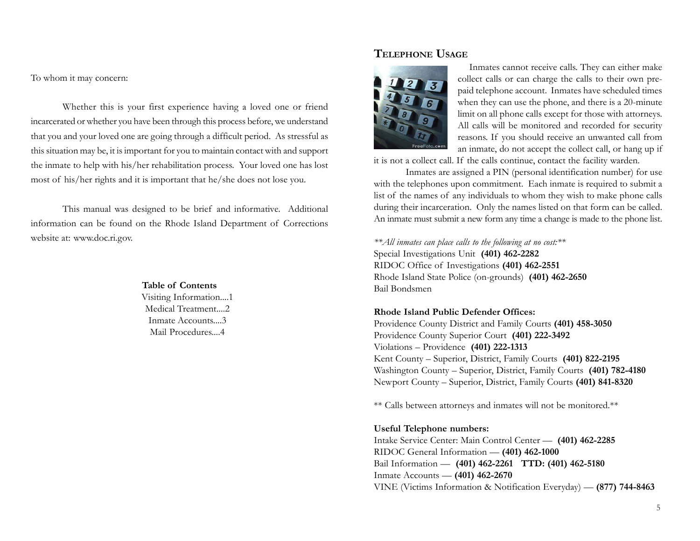To whom it may concern:

Whether this is your first experience having a loved one or friend incarcerated or whether you have been through this process before, we understand that you and your loved one are going through a difficult period. As stressful as this situation may be, it is important for you to maintain contact with and support the inmate to help with his/her rehabilitation process. Your loved one has lost most of his/her rights and it is important that he/she does not lose you.

This manual was designed to be brief and informative. Additional information can be found on the Rhode Island Department of Corrections website at: www.doc.ri.gov.

> **Table of Contents** Visiting Information....1 Medical Treatment....2 Inmate Accounts....3 Mail Procedures....4

### **TELEPHONE USAGE**



Inmates cannot receive calls. They can either make collect calls or can charge the calls to their own prepaid telephone account. Inmates have scheduled times when they can use the phone, and there is a 20-minute limit on all phone calls except for those with attorneys. All calls will be monitored and recorded for security reasons. If you should receive an unwanted call from an inmate, do not accept the collect call, or hang up if

it is not a collect call. If the calls continue, contact the facility warden.

Inmates are assigned a PIN (personal identification number) for use with the telephones upon commitment. Each inmate is required to submit a list of the names of any individuals to whom they wish to make phone calls during their incarceration. Only the names listed on that form can be called. An inmate must submit a new form any time a change is made to the phone list.

*\*\*All inmates can place calls to the following at no cost:\*\** Special Investigations Unit **(401) 462-2282** RIDOC Office of Investigations **(401) 462-2551** Rhode Island State Police (on-grounds) **(401) 462-2650** Bail Bondsmen

#### **Rhode Island Public Defender Offices:**

Providence County District and Family Courts **(401) 458-3050** Providence County Superior Court **(401) 222-3492** Violations – Providence **(401) 222-1313** Kent County – Superior, District, Family Courts **(401) 822-2195** Washington County – Superior, District, Family Courts **(401) 782-4180** Newport County – Superior, District, Family Courts **(401) 841-8320**

\*\* Calls between attorneys and inmates will not be monitored.\*\*

#### **Useful Telephone numbers:**

Intake Service Center: Main Control Center — **(401) 462-2285** RIDOC General Information — **(401) 462-1000** Bail Information — **(401) 462-2261 TTD: (401) 462-5180** Inmate Accounts — **(401) 462-2670** VINE (Victims Information & Notification Everyday) — **(877) 744-8463**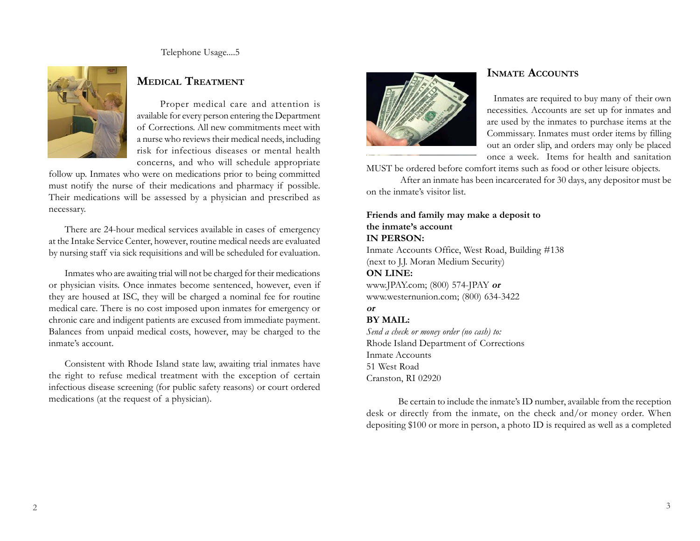Telephone Usage....5



# **MEDICAL TREATMENT**

Proper medical care and attention is available for every person entering the Department of Corrections. All new commitments meet with a nurse who reviews their medical needs, including risk for infectious diseases or mental health concerns, and who will schedule appropriate

follow up. Inmates who were on medications prior to being committed must notify the nurse of their medications and pharmacy if possible. Their medications will be assessed by a physician and prescribed as necessary.

There are 24-hour medical services available in cases of emergency at the Intake Service Center, however, routine medical needs are evaluated by nursing staff via sick requisitions and will be scheduled for evaluation.

Inmates who are awaiting trial will not be charged for their medications or physician visits. Once inmates become sentenced, however, even if they are housed at ISC, they will be charged a nominal fee for routine medical care. There is no cost imposed upon inmates for emergency or chronic care and indigent patients are excused from immediate payment. Balances from unpaid medical costs, however, may be charged to the inmate's account.

Consistent with Rhode Island state law, awaiting trial inmates have the right to refuse medical treatment with the exception of certain infectious disease screening (for public safety reasons) or court ordered medications (at the request of a physician).



# **INMATE ACCOUNTS**

Inmates are required to buy many of their own necessities. Accounts are set up for inmates and are used by the inmates to purchase items at the Commissary. Inmates must order items by filling out an order slip, and orders may only be placed once a week.Items for health and sanitation

MUST be ordered before comfort items such as food or other leisure objects.

 After an inmate has been incarcerated for 30 days, any depositor must be on the inmate's visitor list.

### **Friends and family may make a deposit to the inmate's account IN PERSON:**

Inmate Accounts Office, West Road, Building #138 (next to J.J. Moran Medium Security)

#### **ON LINE:**

www.JPAY.com; (800) 574-JPAY **or** www.westernunion.com; (800) 634-3422

# **or**

**BY MAIL:**

*Send a check or money order (no cash) to:* Rhode Island Department of Corrections Inmate Accounts 51 West Road Cranston, RI 02920

Be certain to include the inmate's ID number, available from the reception desk or directly from the inmate, on the check and/or money order. When depositing \$100 or more in person, a photo ID is required as well as a completed